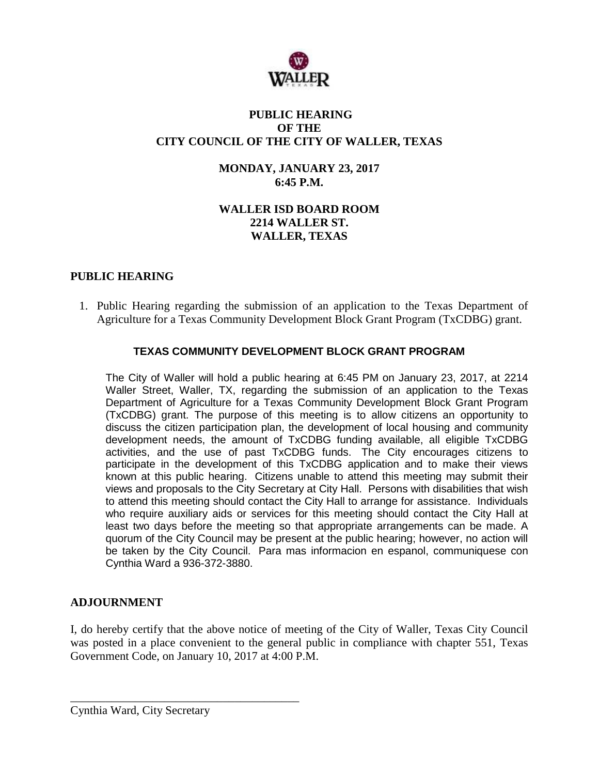

#### **PUBLIC HEARING OF THE CITY COUNCIL OF THE CITY OF WALLER, TEXAS**

#### **MONDAY, JANUARY 23, 2017 6:45 P.M.**

# **WALLER ISD BOARD ROOM 2214 WALLER ST. WALLER, TEXAS**

# **PUBLIC HEARING**

1. Public Hearing regarding the submission of an application to the Texas Department of Agriculture for a Texas Community Development Block Grant Program (TxCDBG) grant.

## **TEXAS COMMUNITY DEVELOPMENT BLOCK GRANT PROGRAM**

The City of Waller will hold a public hearing at 6:45 PM on January 23, 2017, at 2214 Waller Street, Waller, TX, regarding the submission of an application to the Texas Department of Agriculture for a Texas Community Development Block Grant Program (TxCDBG) grant. The purpose of this meeting is to allow citizens an opportunity to discuss the citizen participation plan, the development of local housing and community development needs, the amount of TxCDBG funding available, all eligible TxCDBG activities, and the use of past TxCDBG funds. The City encourages citizens to participate in the development of this TxCDBG application and to make their views known at this public hearing. Citizens unable to attend this meeting may submit their views and proposals to the City Secretary at City Hall. Persons with disabilities that wish to attend this meeting should contact the City Hall to arrange for assistance. Individuals who require auxiliary aids or services for this meeting should contact the City Hall at least two days before the meeting so that appropriate arrangements can be made. A quorum of the City Council may be present at the public hearing; however, no action will be taken by the City Council. Para mas informacion en espanol, communiquese con Cynthia Ward a 936-372-3880.

## **ADJOURNMENT**

I, do hereby certify that the above notice of meeting of the City of Waller, Texas City Council was posted in a place convenient to the general public in compliance with chapter 551, Texas Government Code, on January 10, 2017 at 4:00 P.M.

\_\_\_\_\_\_\_\_\_\_\_\_\_\_\_\_\_\_\_\_\_\_\_\_\_\_\_\_\_\_\_\_\_\_\_\_\_\_\_